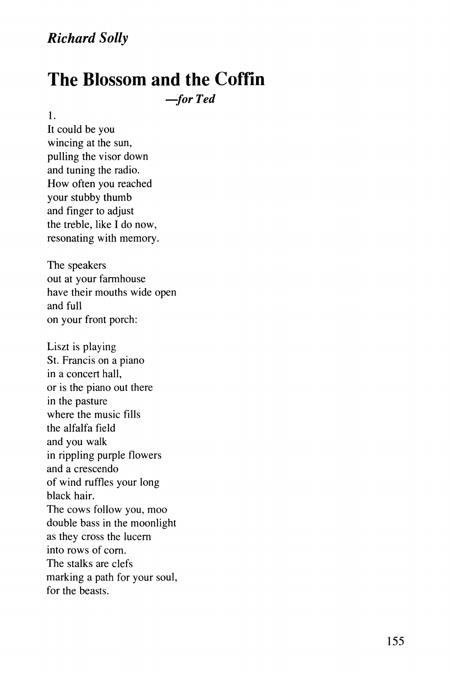## *Richard Solly*

## **The Blossom and the Coffin**

*—for Ted* 

1.

It could be you wincing at the sun, pulling the visor down and tuning the radio. How often you reached your stubby thumb and finger to adjust the treble, like I do now, resonating with memory.

The speakers out at your farmhouse have their mouths wide open and full on your front porch:

Liszt is playing St. Francis on a piano in a concert hall, or is the piano out there in the pasture where the music fills the alfalfa field and you walk in rippling purple flowers and a crescendo of wind ruffles your long black hair. The cows follow you, moo double bass in the moonlight as they cross the lucern into rows of corn. The stalks are clefs marking a path for your soul, for the beasts.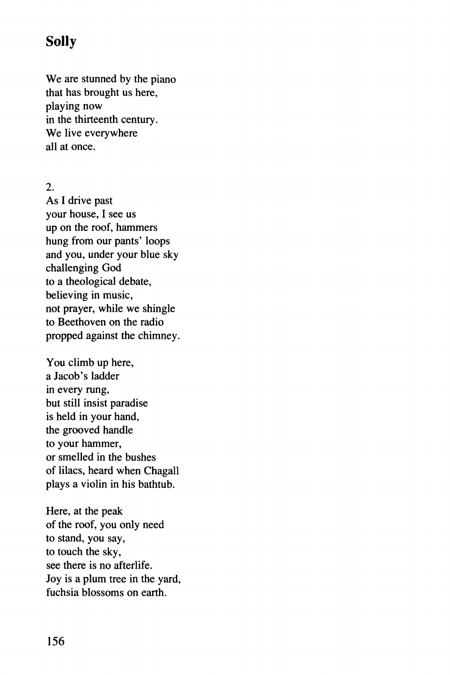## **Solly**

We are stunned by the piano that has brought us here, playing now in the thirteenth century. We live everywhere all at once.

2.

As I drive past your house, I see us up on the roof, hammers hung from our pants' loops and you, under your blue sky challenging God to a theological debate, believing in music, not prayer, while we shingle to Beethoven on the radio propped against the chimney.

You climb up here, a Jacob's ladder in every rung, but still insist paradise is held in your hand, the grooved handle to your hammer, or smelled in the bushes of lilacs, heard when Chagall plays a violin in his bathtub.

Here, at the peak of the roof, you only need to stand, you say, to touch the sky, see there is no afterlife. Joy is a plum tree in the yard, fuchsia blossoms on earth.